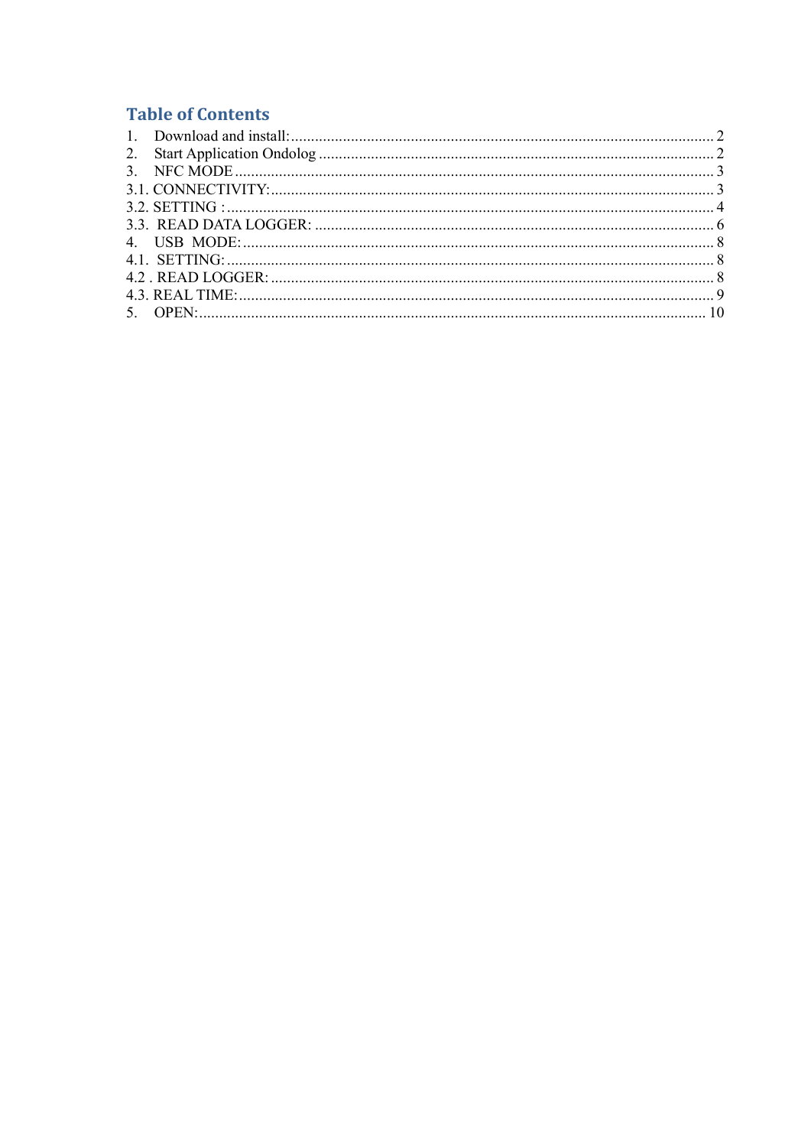# **Table of Contents**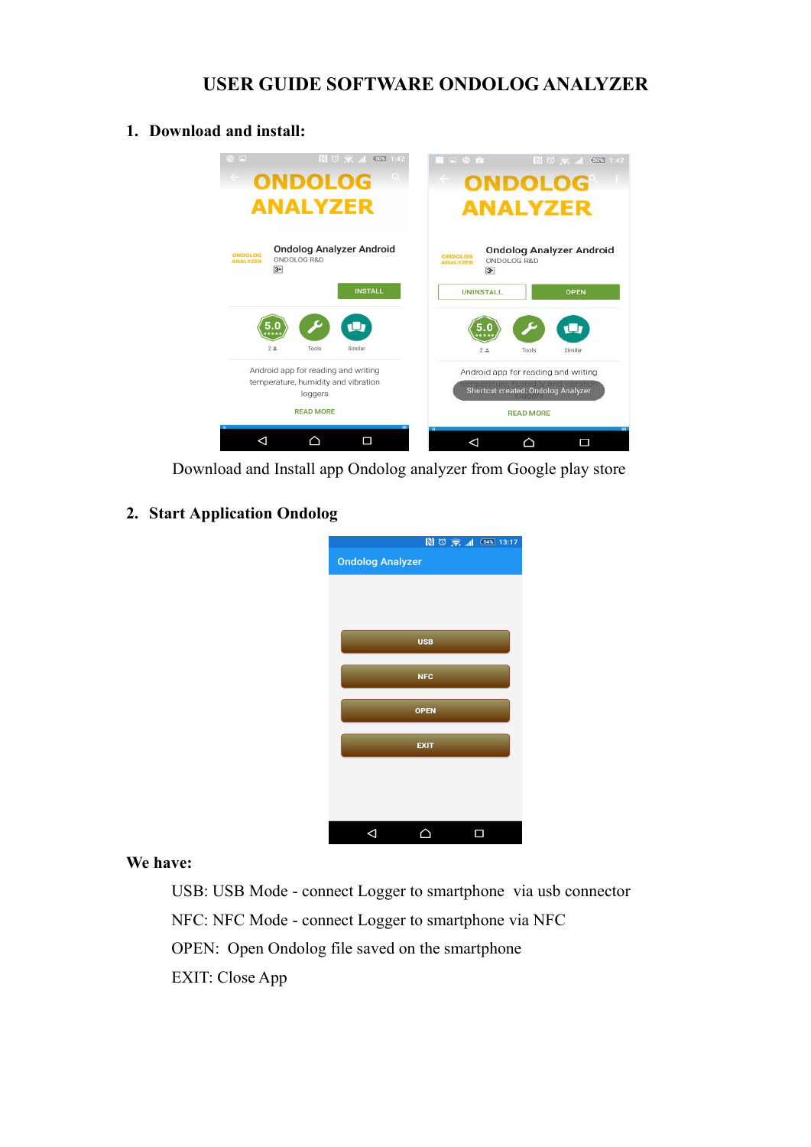## **USER GUIDE SOFTWARE ONDOLOG ANALYZER**

#### <span id="page-1-0"></span>**1. Download and install:**



Download and Install app Ondolog analyzer from Google play store

#### **2. Start Application Ondolog**

| $\boxed{3}$ $\boxed{0}$ $\boxed{5}$ $\boxed{4}$ $\boxed{54\%}$ 13:17 |
|----------------------------------------------------------------------|
| <b>Ondolog Analyzer</b>                                              |
|                                                                      |
|                                                                      |
|                                                                      |
| <b>USB</b>                                                           |
|                                                                      |
| <b>NFC</b>                                                           |
|                                                                      |
| <b>OPEN</b>                                                          |
|                                                                      |
| <b>EXIT</b>                                                          |
|                                                                      |
|                                                                      |
|                                                                      |
|                                                                      |
|                                                                      |

#### **We have:**

USB: USB Mode - connect Logger to smartphone via usb connector NFC: NFC Mode - connect Logger to smartphone via NFC OPEN: Open Ondolog file saved on the smartphone EXIT: Close App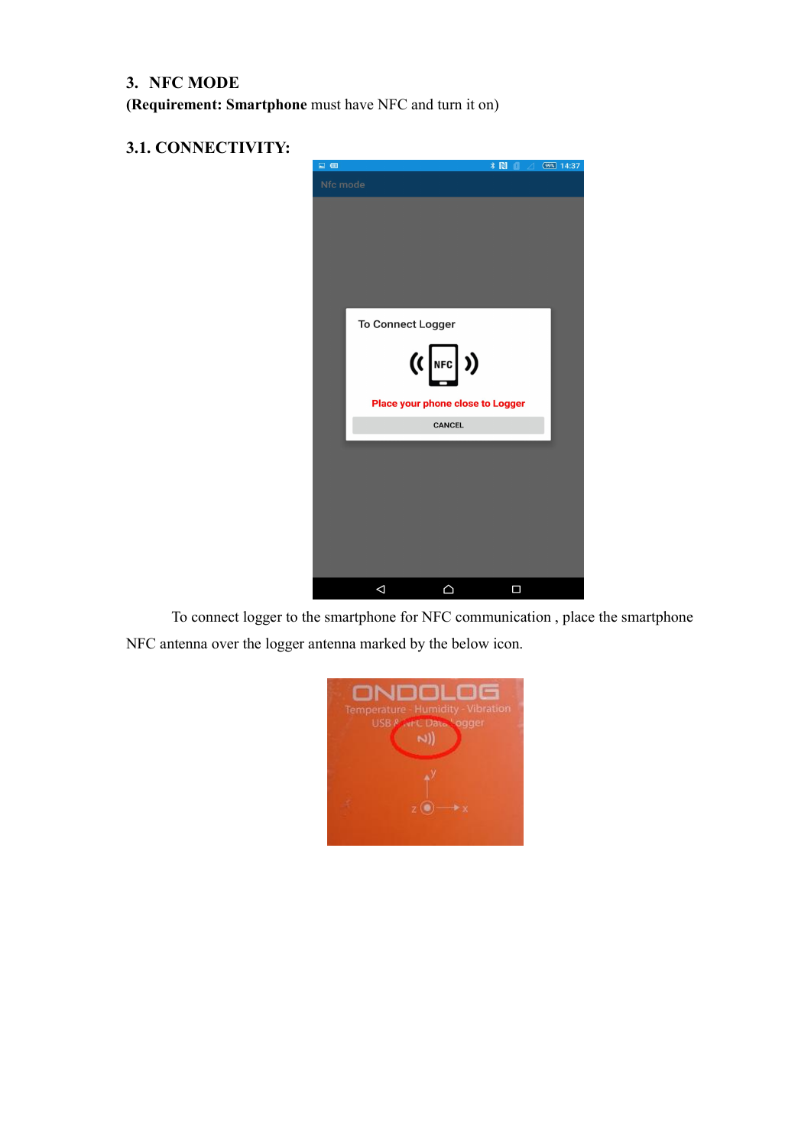## <span id="page-2-0"></span>**3. NFC MODE**

**(Requirement: Smartphone** must have NFC and turn it on)

### **3.1. CONNECTIVITY:**



To connect logger to the smartphone for NFC communication , place the smartphone NFC antenna over the logger antenna marked by the below icon.

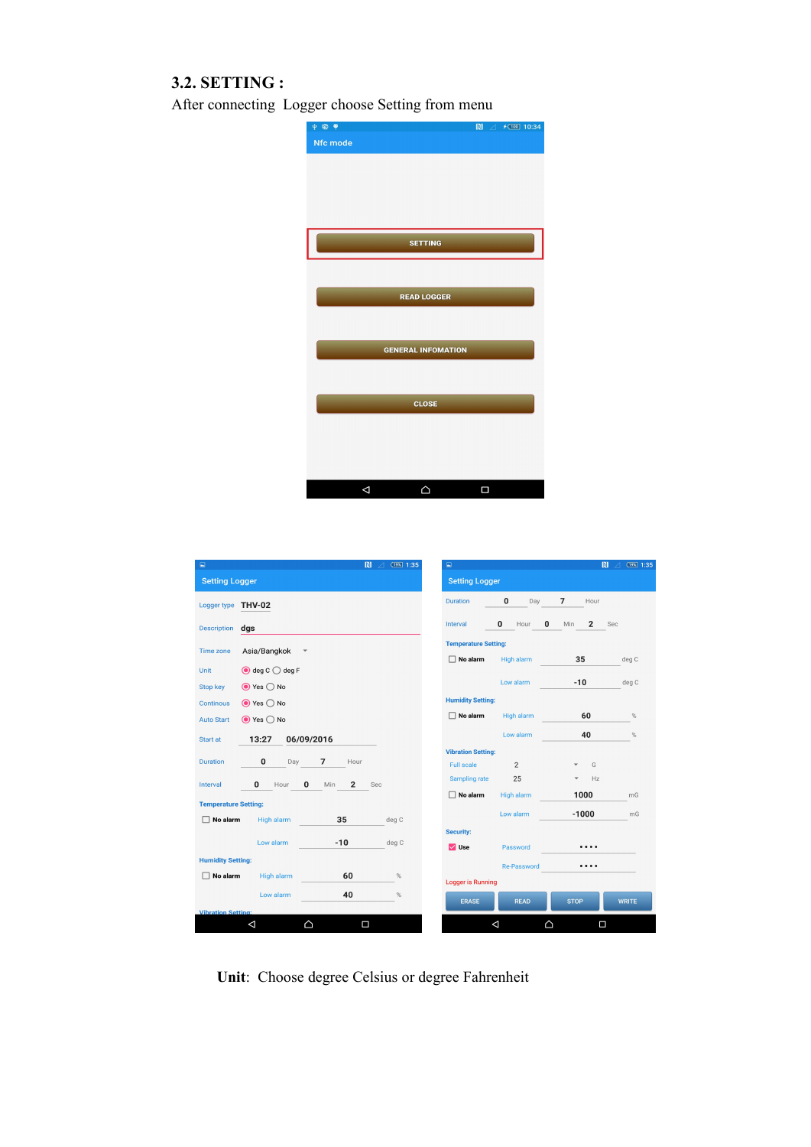### **3.2. SETTING :**

<span id="page-3-0"></span>After connecting Logger choose Setting from menu



| $\Box$                      |                                   |                                       | $\blacksquare$<br>(19%) 1:35<br>$\overline{\mathcal{A}}$ | $\Box$                      |                    |                        | $\mathbb{N}$<br>(19%) 1:35<br>$\overline{\mathcal{A}}$ |  |
|-----------------------------|-----------------------------------|---------------------------------------|----------------------------------------------------------|-----------------------------|--------------------|------------------------|--------------------------------------------------------|--|
| <b>Setting Logger</b>       |                                   |                                       |                                                          | <b>Setting Logger</b>       |                    |                        |                                                        |  |
| Logger type THV-02          |                                   |                                       |                                                          | <b>Duration</b>             | 0<br>Day           | $\overline{7}$<br>Hour |                                                        |  |
| <b>Description</b>          | dgs                               |                                       |                                                          | Interval                    | 0<br>0<br>Hour     | $\overline{2}$<br>Min  | Sec                                                    |  |
| <b>Time zone</b>            | Asia/Bangkok                      | $\blacktriangledown$                  |                                                          | <b>Temperature Setting:</b> |                    |                        |                                                        |  |
| <b>Unit</b>                 | $\bigcirc$ deg C $\bigcirc$ deg F |                                       |                                                          | $\Box$ No alarm             | <b>High alarm</b>  | 35                     | deg C                                                  |  |
| Stop key                    | $\odot$ Yes $\bigcirc$ No         |                                       |                                                          |                             | Low alarm          | $-10$                  | deg C                                                  |  |
| Continous                   | $\odot$ Yes $\bigcirc$ No         |                                       |                                                          | <b>Humidity Setting:</b>    |                    |                        |                                                        |  |
| <b>Auto Start</b>           | $\odot$ Yes $\bigcirc$ No         |                                       |                                                          | $\Box$ No alarm             | <b>High alarm</b>  | 60                     | %                                                      |  |
| Start at                    | 13:27                             | 06/09/2016                            |                                                          |                             | Low alarm          | 40                     | %                                                      |  |
|                             |                                   |                                       |                                                          | <b>Vibration Setting:</b>   |                    |                        |                                                        |  |
| <b>Duration</b>             | $\bf{0}$<br>Day                   | $\overline{7}$<br>Hour                |                                                          | <b>Full scale</b>           | $\overline{2}$     | G                      |                                                        |  |
| Interval                    | $\mathbf{0}$<br>Hour              | $\mathbf{0}$<br>$\overline{2}$<br>Min | Sec                                                      | Sampling rate               | 25                 | Hz                     |                                                        |  |
| <b>Temperature Setting:</b> |                                   |                                       |                                                          | $\Box$ No alarm             | High alarm         | 1000                   | mG                                                     |  |
| No alarm<br>п               | High alarm                        | 35                                    | deg C                                                    |                             | Low alarm          | $-1000$                | mG                                                     |  |
|                             |                                   |                                       |                                                          | <b>Security:</b>            |                    |                        |                                                        |  |
|                             | Low alarm                         | $-10$                                 | deg C                                                    | $\vee$ Use                  | Password           | .                      |                                                        |  |
| <b>Humidity Setting:</b>    |                                   |                                       |                                                          |                             | <b>Re-Password</b> | .                      |                                                        |  |
| п<br>No alarm               | High alarm                        | 60                                    | $\%$                                                     | <b>Logger is Running</b>    |                    |                        |                                                        |  |
|                             | Low alarm                         | 40                                    | %                                                        | <b>ERASE</b>                | <b>READ</b>        | <b>STOP</b>            | <b>WRITE</b>                                           |  |
| <b>Vibration Setting:</b>   |                                   |                                       |                                                          |                             |                    |                        |                                                        |  |
|                             | Δ                                 | △                                     | Π                                                        |                             | $\triangleleft$    | Δ<br>Δ                 |                                                        |  |
|                             |                                   |                                       |                                                          |                             |                    |                        |                                                        |  |

**Unit**: Choose degree Celsius or degree Fahrenheit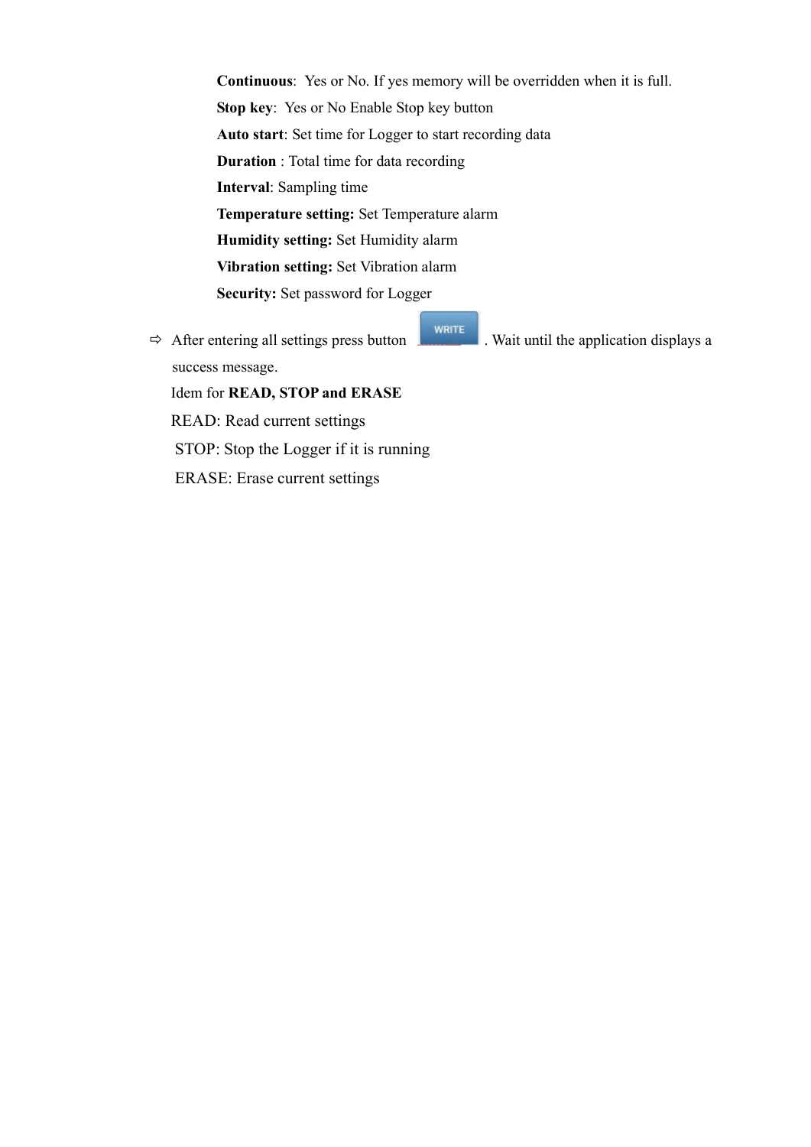**Continuous**: Yes or No. If yes memory will be overridden when it is full. **Stop key**: Yes or No Enable Stop key button **Auto start**: Set time for Logger to start recording data **Duration** : Total time for data recording **Interval**: Sampling time **Temperature setting:** Set Temperature alarm **Humidity setting:** Set Humidity alarm **Vibration setting:** Set Vibration alarm **Security:** Set password for Logger

 $\Rightarrow$  After entering all settings press button **.** WRITE Wait until the application displays a success message. Idem for **READ, STOP and ERASE** READ: Read current settings STOP: Stop the Logger if it is running ERASE: Erase current settings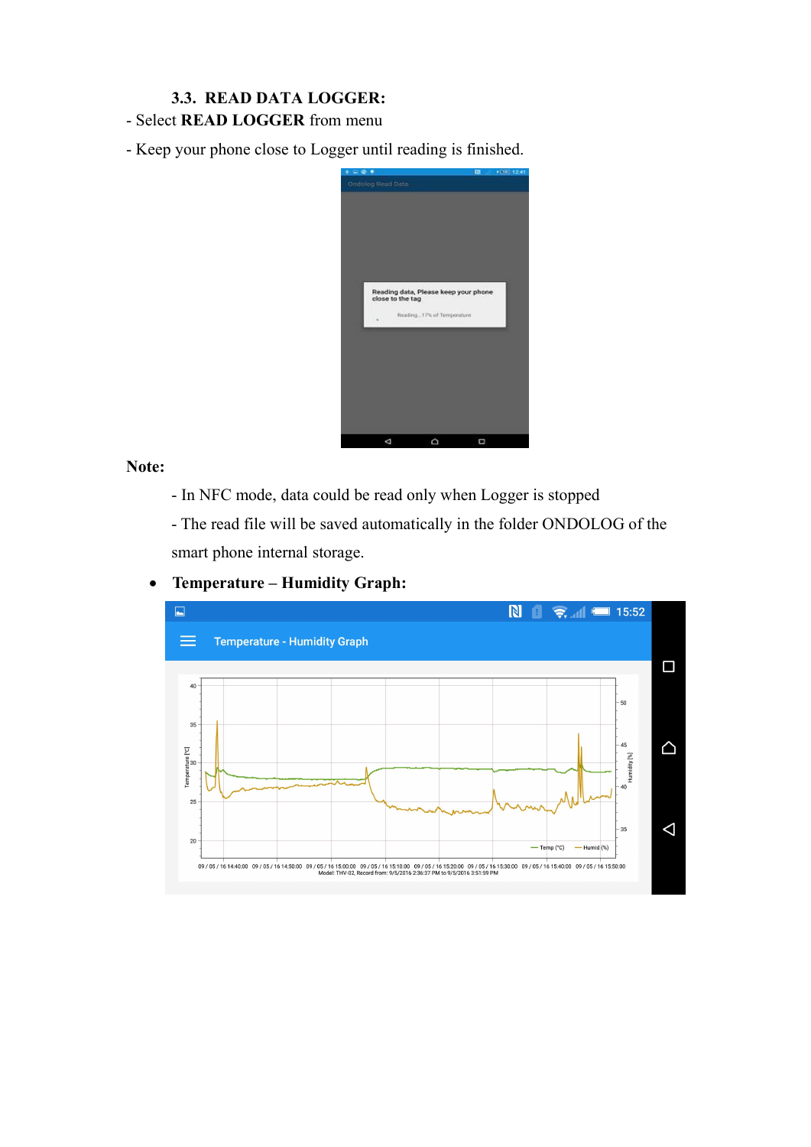## **3.3. READ DATA LOGGER:**

<span id="page-5-0"></span>- Select **READ LOGGER** from menu

- Keep your phone close to Logger until reading is finished.



#### **Note:**

- In NFC mode, data could be read only when Logger is stopped

- The read file will be saved automatically in the folder ONDOLOG of the smart phone internal storage.



### **Temperature – Humidity Graph:**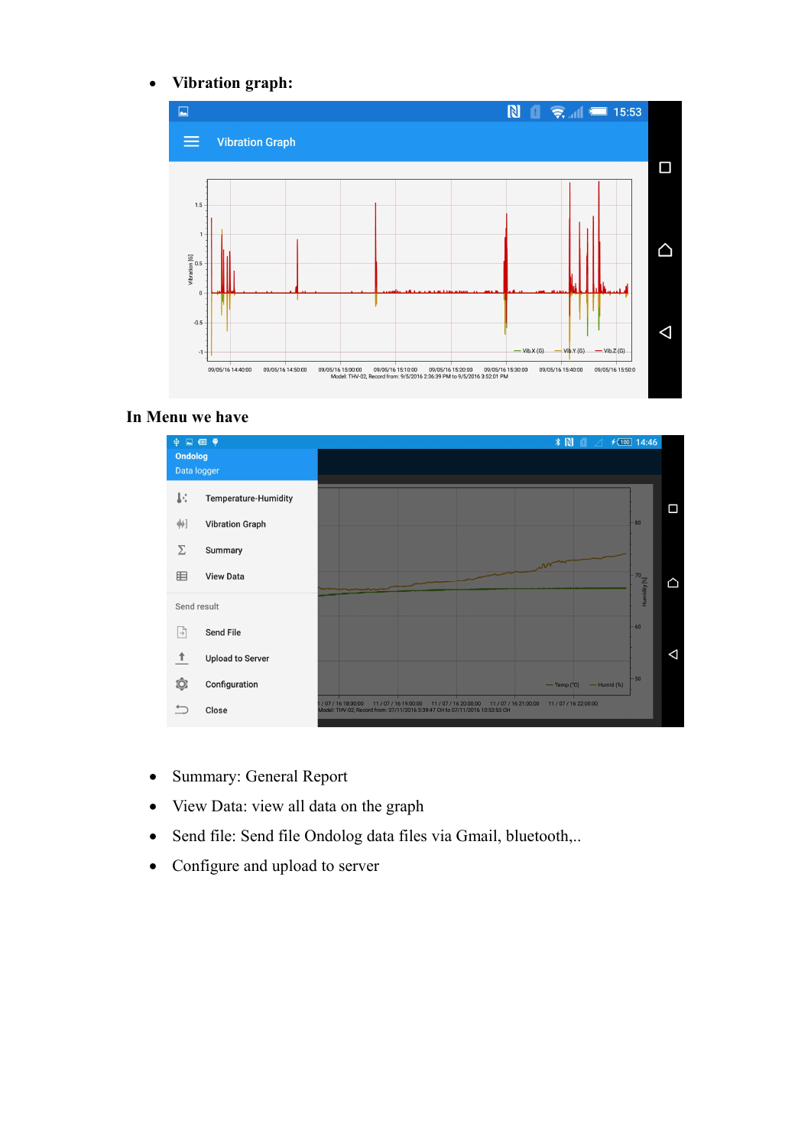#### **Vibration graph:**



#### **In Menu we have**



- Summary: General Report
- View Data: view all data on the graph
- Send file: Send file Ondolog data files via Gmail, bluetooth,..
- Configure and upload to server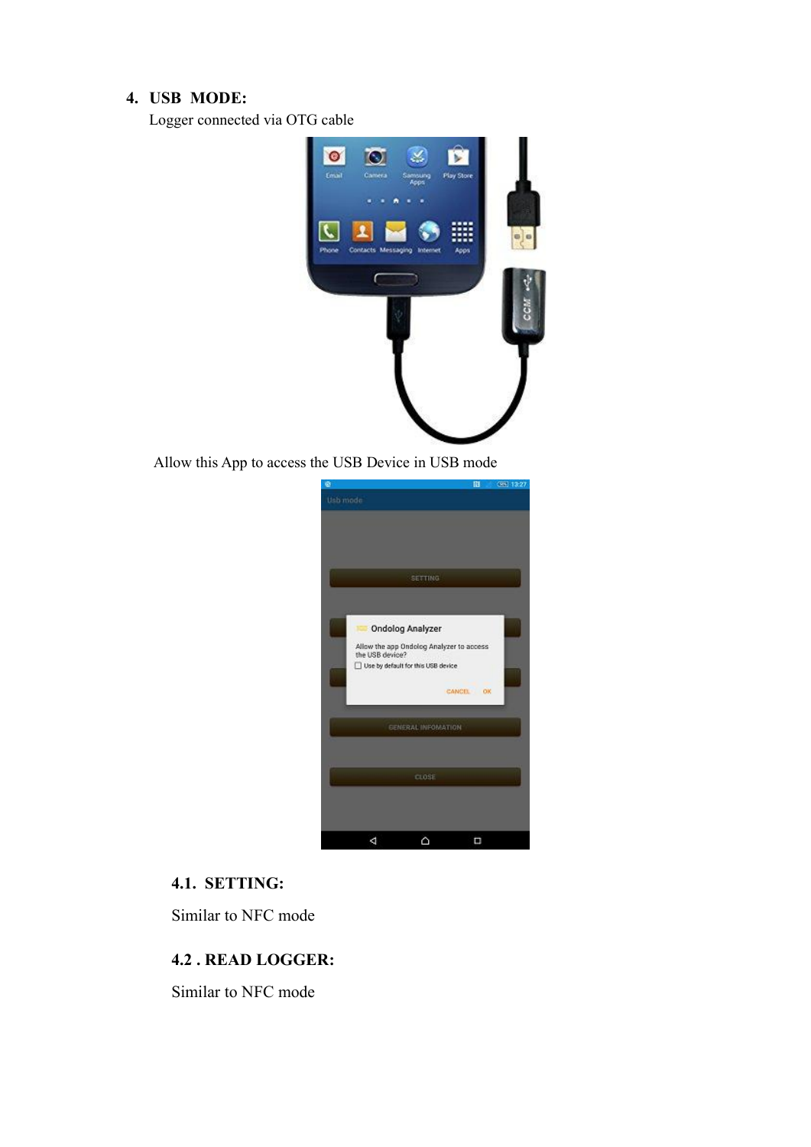#### <span id="page-7-0"></span>**4. USB MODE:**

Logger connected via OTG cable



Allow this App to access the USB Device in USB mode



#### **4.1. SETTING:**

Similar to NFC mode

#### **4.2 . READ LOGGER:**

Similar to NFC mode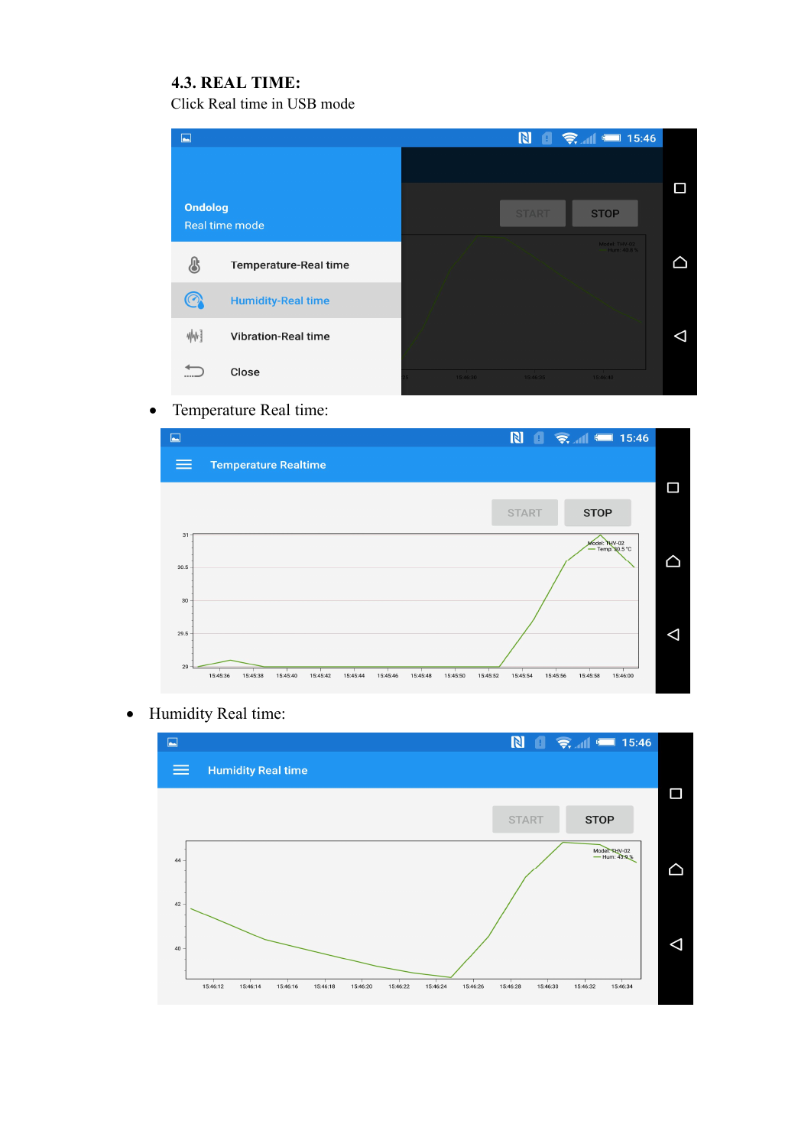### **4.3. REAL TIME:**

Click Real time in USB mode

<span id="page-8-0"></span>

## Temperature Real time:



Humidity Real time: